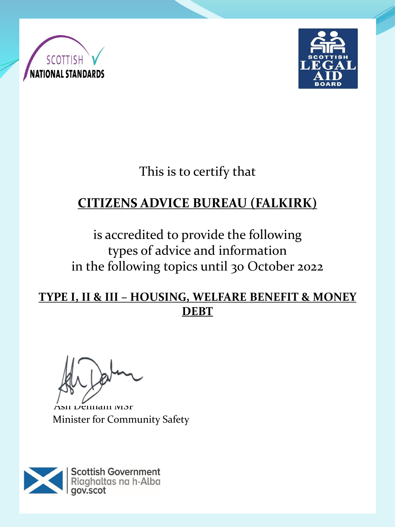



This is to certify that

# **CITIZENS ADVICE BUREAU (FALKIRK)**

is accredited to provide the following types of advice and information in the following topics until 30 October 2022

#### **TYPE I, II & III – HOUSING, WELFARE BENEFIT & MONEY DEBT**

SII Denham MSP Minister for Community Safety

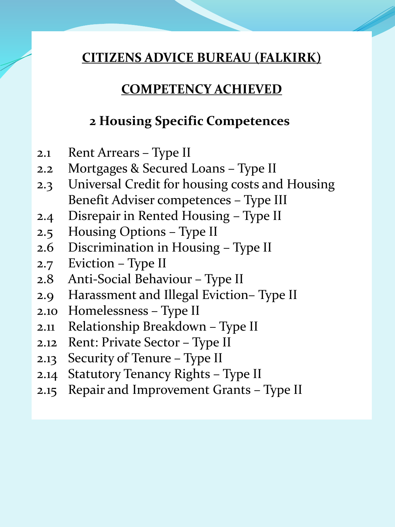### **COMPETENCY ACHIEVED**

## **2 Housing Specific Competences**

- 2.1 Rent Arrears Type II
- 2.2 Mortgages & Secured Loans Type II
- 2.3 Universal Credit for housing costs and Housing Benefit Adviser competences – Type III
- 2.4 Disrepair in Rented Housing Type II
- 2.5 Housing Options Type II
- 2.6 Discrimination in Housing Type II
- 2.7 Eviction Type II
- 2.8 Anti-Social Behaviour Type II
- 2.9 Harassment and Illegal Eviction– Type II
- 2.10 Homelessness Type II
- 2.11 Relationship Breakdown Type II
- 2.12 Rent: Private Sector Type II
- 2.13 Security of Tenure Type II
- 2.14 Statutory Tenancy Rights Type II
- 2.15 Repair and Improvement Grants Type II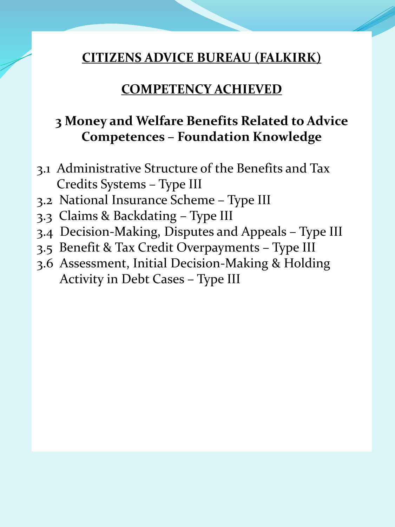#### **COMPETENCY ACHIEVED**

# **3 Money and Welfare Benefits Related to Advice Competences – Foundation Knowledge**

- 3.1 Administrative Structure of the Benefits and Tax Credits Systems – Type III
- 3.2 National Insurance Scheme Type III
- 3.3 Claims & Backdating Type III
- 3.4 Decision-Making, Disputes and Appeals Type III
- 3.5 Benefit & Tax Credit Overpayments Type III
- 3.6 Assessment, Initial Decision-Making & Holding Activity in Debt Cases – Type III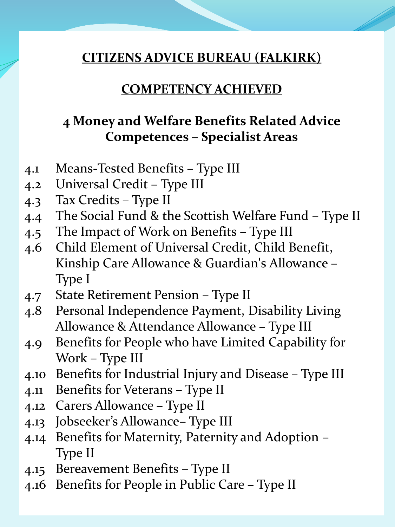#### **COMPETENCY ACHIEVED**

# **4 Money and Welfare Benefits Related Advice Competences – Specialist Areas**

- 4.1 Means-Tested Benefits Type III
- 4.2 Universal Credit Type III
- 4.3 Tax Credits Type II
- 4.4 The Social Fund & the Scottish Welfare Fund Type II
- 4.5 The Impact of Work on Benefits Type III
- 4.6 Child Element of Universal Credit, Child Benefit, Kinship Care Allowance & Guardian's Allowance – Type I
- 4.7 State Retirement Pension Type II
- 4.8 Personal Independence Payment, Disability Living Allowance & Attendance Allowance – Type III
- 4.9 Benefits for People who have Limited Capability for Work – Type III
- 4.10 Benefits for Industrial Injury and Disease Type III
- 4.11 Benefits for Veterans Type II
- 4.12 Carers Allowance Type II
- 4.13 Jobseeker's Allowance– Type III
- 4.14 Benefits for Maternity, Paternity and Adoption Type II
- 4.15 Bereavement Benefits Type II
- 4.16 Benefits for People in Public Care Type II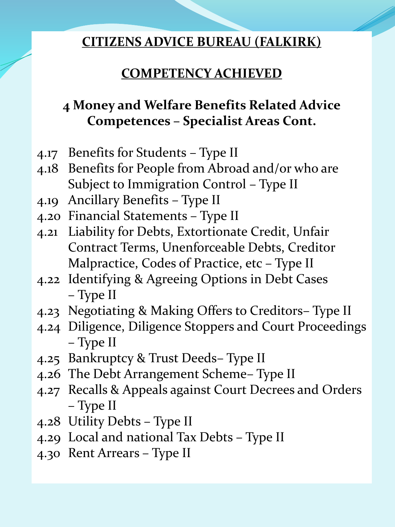# **COMPETENCY ACHIEVED**

# **4 Money and Welfare Benefits Related Advice Competences – Specialist Areas Cont.**

- 4.17 Benefits for Students Type II
- 4.18 Benefits for People from Abroad and/or who are Subject to Immigration Control – Type II
- 4.19 Ancillary Benefits Type II
- 4.20 Financial Statements Type II
- 4.21 Liability for Debts, Extortionate Credit, Unfair Contract Terms, Unenforceable Debts, Creditor Malpractice, Codes of Practice, etc – Type II
- 4.22 Identifying & Agreeing Options in Debt Cases – Type II
- 4.23 Negotiating & Making Offers to Creditors– Type II
- 4.24 Diligence, Diligence Stoppers and Court Proceedings – Type II
- 4.25 Bankruptcy & Trust Deeds– Type II
- 4.26 The Debt Arrangement Scheme– Type II
- 4.27 Recalls & Appeals against Court Decrees and Orders – Type II
- 4.28 Utility Debts Type II
- 4.29 Local and national Tax Debts Type II
- 4.30 Rent Arrears Type II